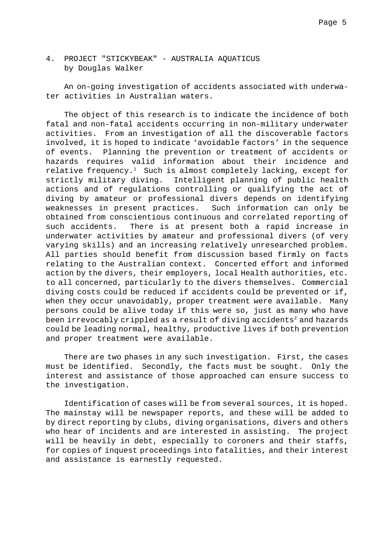4. PROJECT "STICKYBEAK" - AUSTRALIA AQUATICUS by Douglas Walker

An on-going investigation of accidents associated with underwater activities in Australian waters.

The object of this research is to indicate the incidence of both fatal and non-fatal accidents occurring in non-military underwater activities. From an investigation of all the discoverable factors involved, it is hoped to indicate 'avoidable factors' in the sequence of events. Planning the prevention or treatment of accidents or hazards requires valid information about their incidence and relative frequency.<sup>1</sup> Such is almost completely lacking, except for strictly military diving. Intelligent planning of public health actions and of regulations controlling or qualifying the act of diving by amateur or professional divers depends on identifying weaknesses in present practices. Such information can only be obtained from conscientious continuous and correlated reporting of such accidents. There is at present both a rapid increase in underwater activities by amateur and professional divers (of very varying skills) and an increasing relatively unresearched problem. All parties should benefit from discussion based firmly on facts relating to the Australian context. Concerted effort and informed action by the divers, their employers, local Health authorities, etc. to all concerned, particularly to the divers themselves. Commercial diving costs could be reduced if accidents could be prevented or if, when they occur unavoidably, proper treatment were available. Many persons could be alive today if this were so, just as many who have been irrevocably crippled as a result of diving accidents<sup>2</sup> and hazards could be leading normal, healthy, productive lives if both prevention and proper treatment were available.

There are two phases in any such investigation. First, the cases must be identified. Secondly, the facts must be sought. Only the interest and assistance of those approached can ensure success to the investigation.

Identification of cases will be from several sources, it is hoped. The mainstay will be newspaper reports, and these will be added to by direct reporting by clubs, diving organisations, divers and others who hear of incidents and are interested in assisting. The project will be heavily in debt, especially to coroners and their staffs, for copies of inquest proceedings into fatalities, and their interest and assistance is earnestly requested.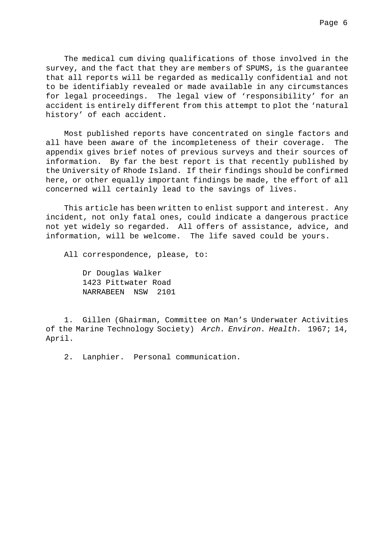The medical cum diving qualifications of those involved in the survey, and the fact that they are members of SPUMS, is the guarantee that all reports will be regarded as medically confidential and not to be identifiably revealed or made available in any circumstances for legal proceedings. The legal view of 'responsibility' for an accident is entirely different from this attempt to plot the 'natural history' of each accident.

Most published reports have concentrated on single factors and all have been aware of the incompleteness of their coverage. The appendix gives brief notes of previous surveys and their sources of information. By far the best report is that recently published by the University of Rhode Island. If their findings should be confirmed here, or other equally important findings be made, the effort of all concerned will certainly lead to the savings of lives.

This article has been written to enlist support and interest. Any incident, not only fatal ones, could indicate a dangerous practice not yet widely so regarded. All offers of assistance, advice, and information, will be welcome. The life saved could be yours.

All correspondence, please, to:

Dr Douglas Walker 1423 Pittwater Road NARRABEEN NSW 2101

1. Gillen (Ghairman, Committee on Man's Underwater Activities of the Marine Technology Society) Arch. Environ. Health. 1967; 14, April.

2. Lanphier. Personal communication.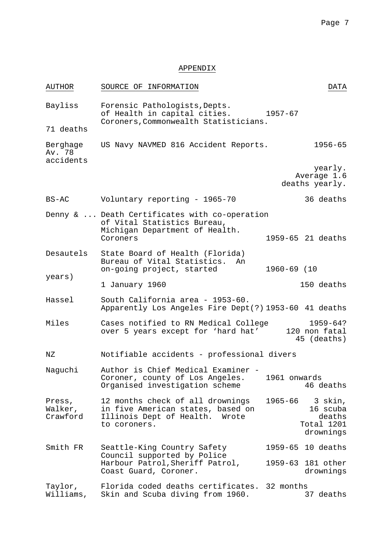## APPENDIX

| <b>AUTHOR</b>                   | SOURCE OF INFORMATION                                                                                                      |              | DATA                                                     |
|---------------------------------|----------------------------------------------------------------------------------------------------------------------------|--------------|----------------------------------------------------------|
| Bayliss                         | Forensic Pathologists, Depts.<br>of Health in capital cities.<br>Coroners, Commonwealth Statisticians.                     | 1957-67      |                                                          |
| 71 deaths                       |                                                                                                                            |              |                                                          |
| Berghage<br>Av. 78<br>accidents | US Navy NAVMED 816 Accident Reports.                                                                                       |              | $1956 - 65$                                              |
|                                 |                                                                                                                            |              | yearly.<br>Average 1.6<br>deaths yearly.                 |
| $BS-AC$                         | Voluntary reporting - 1965-70                                                                                              |              | 36 deaths                                                |
|                                 | Denny &  Death Certificates with co-operation<br>of Vital Statistics Bureau,<br>Michigan Department of Health.<br>Coroners |              | 1959-65 21 deaths                                        |
| Desautels                       | State Board of Health (Florida)<br>Bureau of Vital Statistics. An<br>on-going project, started                             | 1960-69 (10  |                                                          |
| years)                          | 1 January 1960                                                                                                             |              | 150 deaths                                               |
| Hassel                          | South California area - 1953-60.<br>Apparently Los Angeles Fire Dept(?) 1953-60 41 deaths                                  |              |                                                          |
| Miles                           | Cases notified to RN Medical College<br>over 5 years except for 'hard hat'                                                 |              | $1959 - 64?$<br>120 non fatal<br>45 (deaths)             |
| ΝZ                              | Notifiable accidents - professional divers                                                                                 |              |                                                          |
| Naguchi                         | Author is Chief Medical Examiner -<br>Coroner, county of Los Angeles.<br>Organised investigation scheme                    | 1961 onwards | 46 deaths                                                |
| Press,<br>Walker,<br>Crawford   | 12 months check of all drownings<br>in five American states, based on<br>Illinois Dept of Health. Wrote<br>to coroners.    | 1965-66      | 3 skin,<br>16 scuba<br>deaths<br>Total 1201<br>drownings |
| Smith FR                        | Seattle-King Country Safety<br>Council supported by Police<br>Harbour Patrol, Sheriff Patrol,<br>Coast Guard, Coroner.     |              | 1959-65 10 deaths                                        |
|                                 |                                                                                                                            |              | 1959-63 181 other<br>drownings                           |
| Taylor,<br>Williams,            | Florida coded deaths certificates.<br>Skin and Scuba diving from 1960.                                                     | 32 months    | 37 deaths                                                |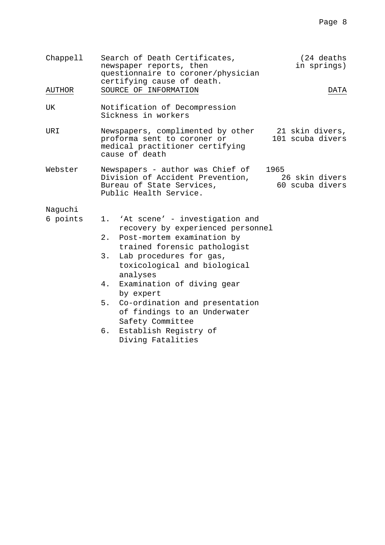| Chappell      | Search of Death Certificates,<br>newspaper reports, then<br>questionnaire to coroner/physician<br>certifying cause of death. | (24 deaths<br>in springs)                 |
|---------------|------------------------------------------------------------------------------------------------------------------------------|-------------------------------------------|
| <b>AUTHOR</b> | SOURCE OF INFORMATION                                                                                                        | DATA                                      |
| UK            | Notification of Decompression<br>Sickness in workers                                                                         |                                           |
| URI           | Newspapers, complimented by other<br>proforma sent to coroner or<br>medical practitioner certifying<br>cause of death        | 21 skin divers,<br>101 scuba divers       |
| Webster       | Newspapers - author was Chief of<br>Division of Accident Prevention,<br>Bureau of State Services,<br>Public Health Service.  | 1965<br>26 skin divers<br>60 scuba divers |
| Naguchi       |                                                                                                                              |                                           |
| 6 points      | 'At scene' - investigation and<br>1.<br>recovery by experienced personnel                                                    |                                           |
|               | Post-mortem examination by<br>$2$ .<br>trained forensic pathologist                                                          |                                           |
|               | 3.<br>Lab procedures for gas,<br>toxicological and biological<br>analyses                                                    |                                           |
|               | Examination of diving gear<br>4.<br>by expert                                                                                |                                           |
|               | 5.<br>Co-ordination and presentation<br>of findings to an Underwater<br>Safety Committee                                     |                                           |
|               | Establish Registry of<br>б.<br>Diving Fatalities                                                                             |                                           |